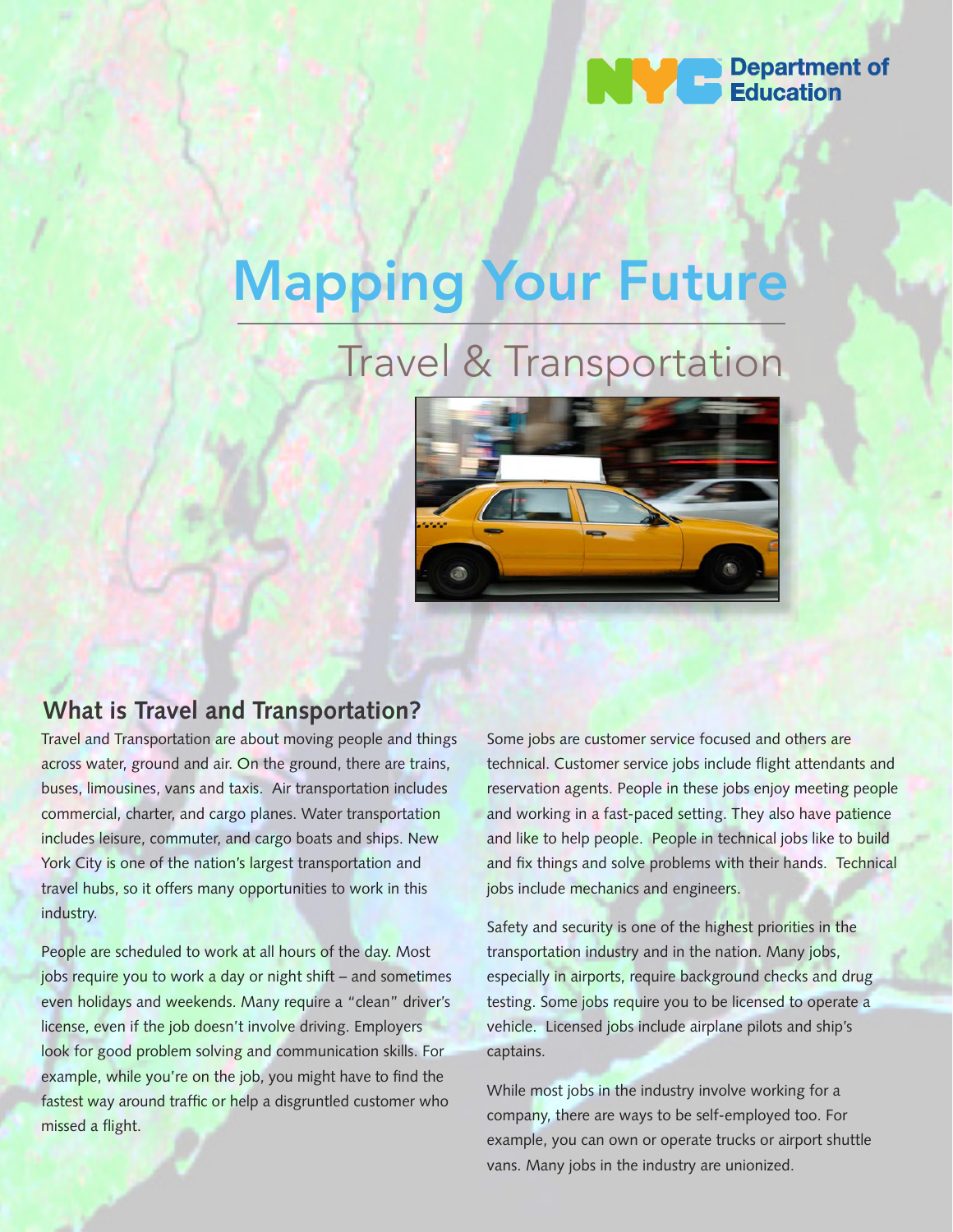

# Mapping Your Future

# Travel & Transportation



# **What is Travel and Transportation?**

Travel and Transportation are about moving people and things across water, ground and air. On the ground, there are trains, buses, limousines, vans and taxis. Air transportation includes commercial, charter, and cargo planes. Water transportation includes leisure, commuter, and cargo boats and ships. New York City is one of the nation's largest transportation and travel hubs, so it offers many opportunities to work in this industry.

People are scheduled to work at all hours of the day. Most jobs require you to work a day or night shift – and sometimes even holidays and weekends. Many require a "clean" driver's license, even if the job doesn't involve driving. Employers look for good problem solving and communication skills. For example, while you're on the job, you might have to find the fastest way around traffic or help a disgruntled customer who missed a flight.

Some jobs are customer service focused and others are technical. Customer service jobs include flight attendants and reservation agents. People in these jobs enjoy meeting people and working in a fast-paced setting. They also have patience and like to help people. People in technical jobs like to build and fix things and solve problems with their hands. Technical jobs include mechanics and engineers.

Safety and security is one of the highest priorities in the transportation industry and in the nation. Many jobs, especially in airports, require background checks and drug testing. Some jobs require you to be licensed to operate a vehicle. Licensed jobs include airplane pilots and ship's captains.

While most jobs in the industry involve working for a company, there are ways to be self-employed too. For example, you can own or operate trucks or airport shuttle vans. Many jobs in the industry are unionized.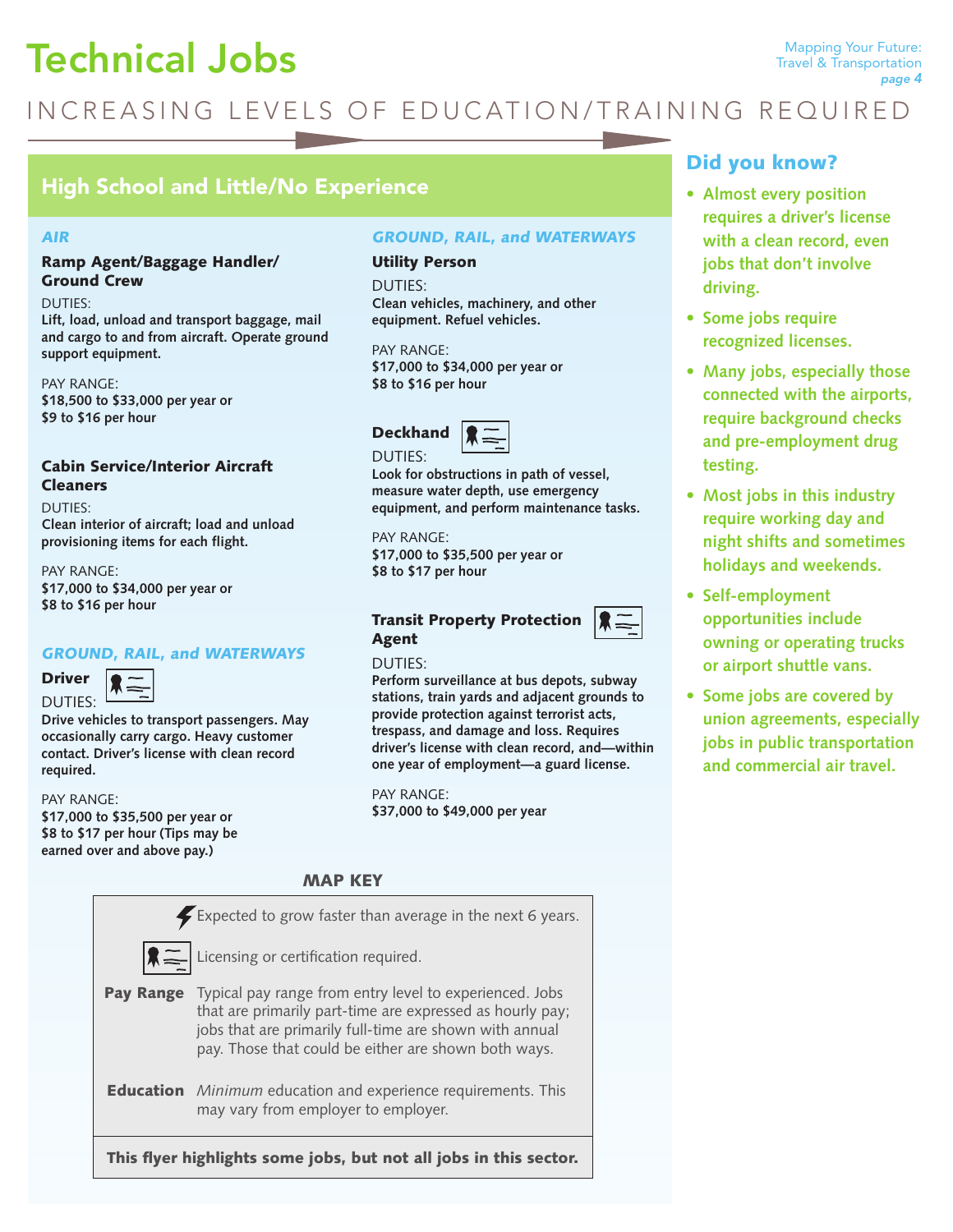# Technical Jobs

# INCREASING LEVELS OF EDUCATION/TRAINING REQUIRED

# High School and Little/No Experience

#### AIR

# Ramp Agent/Baggage Handler/ Ground Crew

DUTIES:

**Lift, load, unload and transport baggage, mail and cargo to and from aircraft. Operate ground support equipment.** 

PAY RANGE: **\$18,500 to \$33,000 per year or \$9 to \$16 per hour**

# Cabin Service/Interior Aircraft Cleaners

DUTIES:

**Clean interior of aircraft; load and unload provisioning items for each flight.** 

PAY RANGE: **\$17,000 to \$34,000 per year or \$8 to \$16 per hour**

# GROUND, RAIL, and WATERWAYS



**Drive vehicles to transport passengers. May occasionally carry cargo. Heavy customer contact. Driver's license with clean record required.**

#### PAY RANGE: **\$17,000 to \$35,500 per year or \$8 to \$17 per hour (Tips may be earned over and above pay.)**

MAP KEY

|                                                                   | Expected to grow faster than average in the next 6 years.                                                                                                                                                                               |  |  |  |  |
|-------------------------------------------------------------------|-----------------------------------------------------------------------------------------------------------------------------------------------------------------------------------------------------------------------------------------|--|--|--|--|
|                                                                   | $\left \mathbf{R}\equiv\right $ Licensing or certification required.                                                                                                                                                                    |  |  |  |  |
| <b>Pay Range</b>                                                  | Typical pay range from entry level to experienced. Jobs<br>that are primarily part-time are expressed as hourly pay;<br>jobs that are primarily full-time are shown with annual<br>pay. Those that could be either are shown both ways. |  |  |  |  |
|                                                                   | <b>Education</b> Minimum education and experience requirements. This<br>may vary from employer to employer.                                                                                                                             |  |  |  |  |
| This flyer highlights some jobs, but not all jobs in this sector. |                                                                                                                                                                                                                                         |  |  |  |  |

# GROUND, RAIL, and WATERWAYS

### Utility Person

DUTIES: **Clean vehicles, machinery, and other equipment. Refuel vehicles.**

PAY RANGE: **\$17,000 to \$34,000 per year or \$8 to \$16 per hour** 

# **Deckhand** DUTIES:



**Look for obstructions in path of vessel, measure water depth, use emergency equipment, and perform maintenance tasks.** 

PAY RANGE: **\$17,000 to \$35,500 per year or \$8 to \$17 per hour**

# Transit Property Protection Agent

### DUTIES:

**Perform surveillance at bus depots, subway stations, train yards and adjacent grounds to provide protection against terrorist acts, trespass, and damage and loss. Requires driver's license with clean record, and—within one year of employment—a guard license.** 

PAY RANGE: **\$37,000 to \$49,000 per year** 

# Did you know?

- **•** Almost every position **requires a driver's license with a clean record, even jobs that don't involve driving.**
- **•** Some jobs require **recognized licenses.**
- Many jobs, especially those **connected with the airports, require background checks and pre-employment drug testing.**
- Most jobs in this industry **require working day and night shifts and sometimes holidays and weekends.**
- **• Self-employment opportunities include owning or operating trucks or airport shuttle vans.**
- Some jobs are covered by **union agreements, especially jobs in public transportation and commercial air travel.**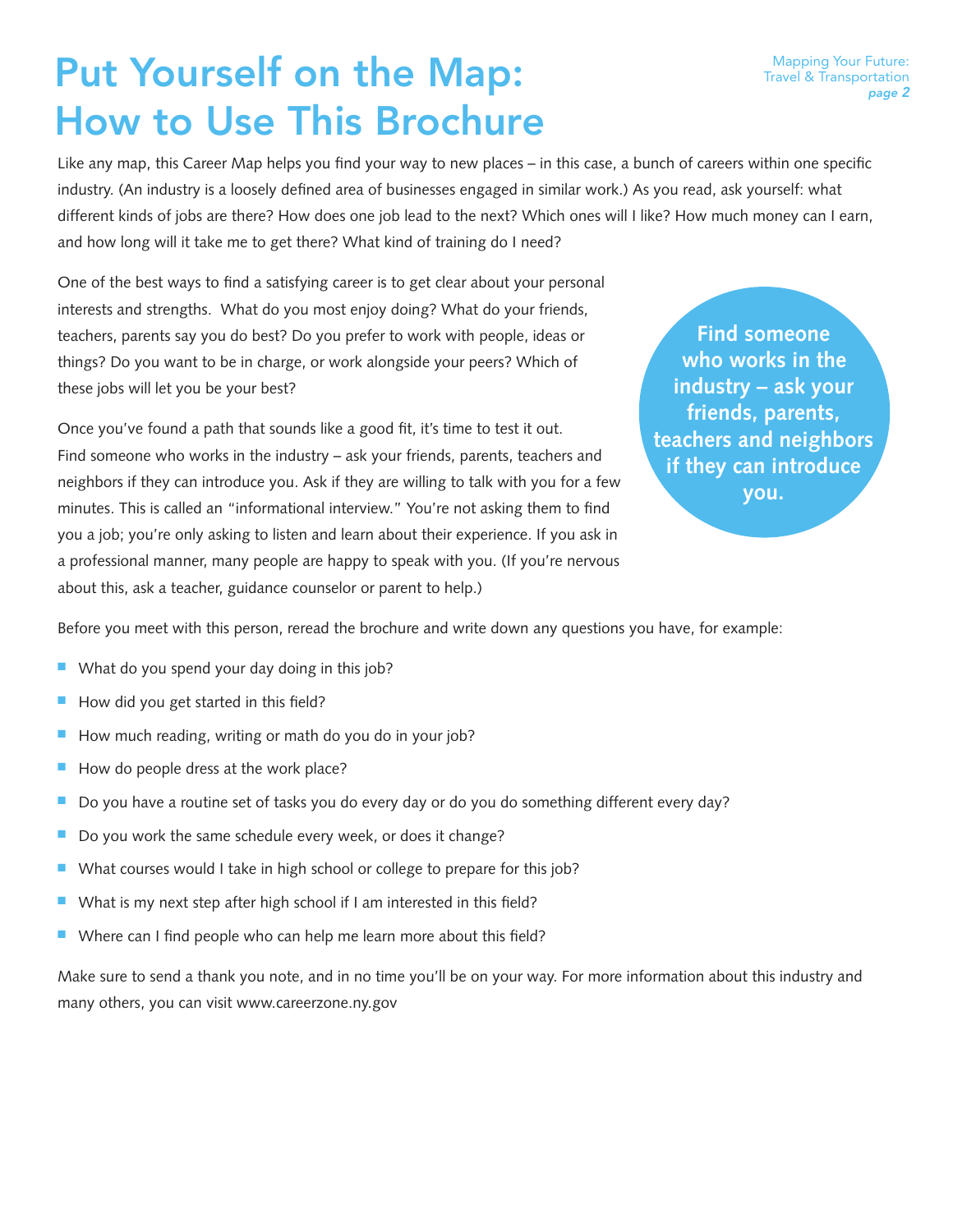# Put Yourself on the Map: How to Use This Brochure

Like any map, this Career Map helps you find your way to new places – in this case, a bunch of careers within one specific industry. (An industry is a loosely defined area of businesses engaged in similar work.) As you read, ask yourself: what different kinds of jobs are there? How does one job lead to the next? Which ones will I like? How much money can I earn, and how long will it take me to get there? What kind of training do I need?

One of the best ways to find a satisfying career is to get clear about your personal interests and strengths. What do you most enjoy doing? What do your friends, teachers, parents say you do best? Do you prefer to work with people, ideas or things? Do you want to be in charge, or work alongside your peers? Which of these jobs will let you be your best?

Once you've found a path that sounds like a good fit, it's time to test it out. Find someone who works in the industry – ask your friends, parents, teachers and neighbors if they can introduce you. Ask if they are willing to talk with you for a few minutes. This is called an "informational interview." You're not asking them to find you a job; you're only asking to listen and learn about their experience. If you ask in a professional manner, many people are happy to speak with you. (If you're nervous about this, ask a teacher, guidance counselor or parent to help.)

**Find someone who works in the industry – ask your friends, parents, teachers and neighbors if they can introduce you.**

Before you meet with this person, reread the brochure and write down any questions you have, for example:

- $\blacksquare$  What do you spend your day doing in this job?
- How did you get started in this field?
- How much reading, writing or math do you do in your job?
- $\blacksquare$  How do people dress at the work place?
- Do you have a routine set of tasks you do every day or do you do something different every day?
- Do you work the same schedule every week, or does it change?
- What courses would I take in high school or college to prepare for this job?
- $\blacksquare$  What is my next step after high school if I am interested in this field?
- Where can I find people who can help me learn more about this field?

Make sure to send a thank you note, and in no time you'll be on your way. For more information about this industry and many others, you can visit www.careerzone.ny.gov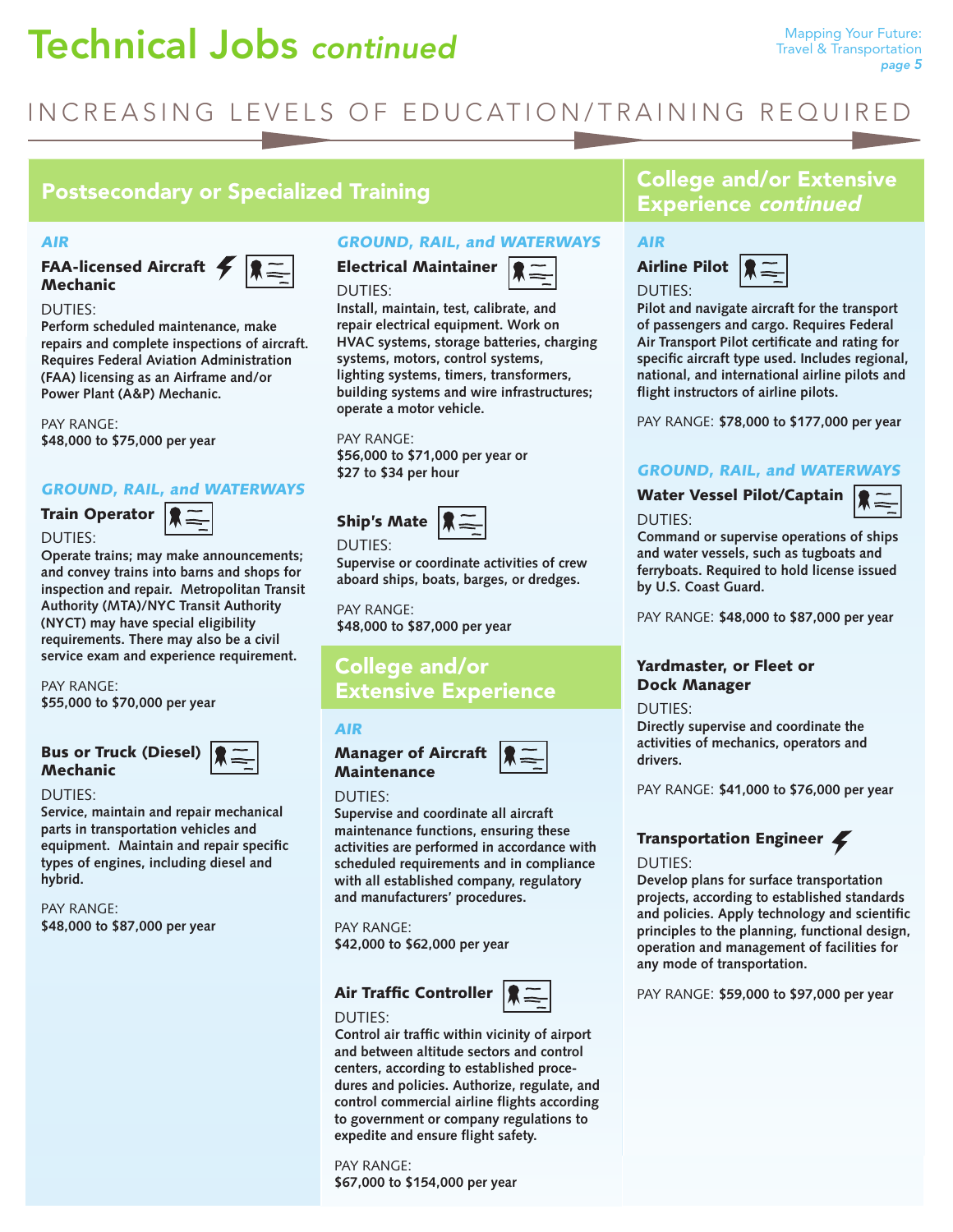# **Technical Jobs continued** Mapping Your Future:

# INCREASING LEVELS OF EDUCATION/TRAINING REQUIRED

# Postsecondary or Specialized Training The College and/or Extensive

#### AIR

FAA-licensed Aircraft Mechanic



#### DUTIES:

**Perform scheduled maintenance, make repairs and complete inspections of aircraft. Requires Federal Aviation Administration (FAA) licensing as an Airframe and/or Power Plant (A&P) Mechanic.** 

PAY RANGE: **\$48,000 to \$75,000 per year**

### GROUND, RAIL, and WATERWAYS

# Train Operator |

DUTIES:



**Operate trains; may make announcements; and convey trains into barns and shops for inspection and repair. Metropolitan Transit Authority (MTA)/NYC Transit Authority (NYCT) may have special eligibility requirements. There may also be a civil service exam and experience requirement.**

PAY RANGE: **\$55,000 to \$70,000 per year** 

# Bus or Truck (Diesel) **Mechanic**

#### DUTIES:

Service, maintain and repair mechanical **parts in transportation vehicles and equipment. Maintain and repair specific types of engines, including diesel and hybrid.**

PAY RANGE: **\$48,000 to \$87,000 per year**

## GROUND, RAIL, and WATERWAYS

Electrical Maintainer DUTIES:



**Install, maintain, test, calibrate, and repair electrical equipment. Work on HVAC** systems, storage batteries, charging **systems, motors, control systems, lighting systems, timers, transformers, building systems and wire infrastructures; operate a motor vehicle.**

PAY RANGE: **\$56,000 to \$71,000 per year or \$27 to \$34 per hour**

DUTIES:

Supervise or coordinate activities of crew **aboard ships, boats, barges, or dredges.**

 $\equiv$ 

PAY RANGE: **\$48,000 to \$87,000 per year**

# College and/or Extensive Experience

#### AIR

Manager of Aircraft **Maintenance** 



#### DUTIES:

DUTIES:

**Supervise and coordinate all aircraft maintenance functions, ensuring these activities are performed in accordance with scheduled requirements and in compliance with all established company, regulatory and manufacturers' procedures.**

PAY RANGE: **\$42,000 to \$62,000 per year**

# Air Traffic Controller



**Control air traffic within vicinity of airport and between altitude sectors and control centers, according to established proce**dures and policies. Authorize, regulate, and **control commercial airline flights according to government or company regulations to expedite and ensure flight safety.** 

PAY RANGE: **\$67,000 to \$154,000 per year**

# Experience continued

# AIR





**Pilot and navigate aircraft for the transport of passengers and cargo. Requires Federal**  Air Transport Pilot certificate and rating for **specific aircraft type used. Includes regional, national, and international airline pilots and flight instructors of airline pilots.** 

PAY RANGE: **\$78,000 to \$177,000 per year**

# GROUND, RAIL, and WATERWAYS

Water Vessel Pilot/Captain



**Command or supervise operations of ships and water vessels, such as tugboats and ferryboats. Required to hold license issued by U.S. Coast Guard.**

PAY RANGE: **\$48,000 to \$87,000 per year**

# Yardmaster, or Fleet or Dock Manager

DUTIES:

DUTIES:

**Directly supervise and coordinate the activities of mechanics, operators and drivers.** 

PAY RANGE: **\$41,000 to \$76,000 per year**

# Transportation Engineer

### DUTIES:

**Develop plans for surface transportation projects, according to established standards**  and policies. Apply technology and scientific **principles to the planning, functional design, operation and management of facilities for any mode of transportation.**

PAY RANGE: **\$59,000 to \$97,000 per year**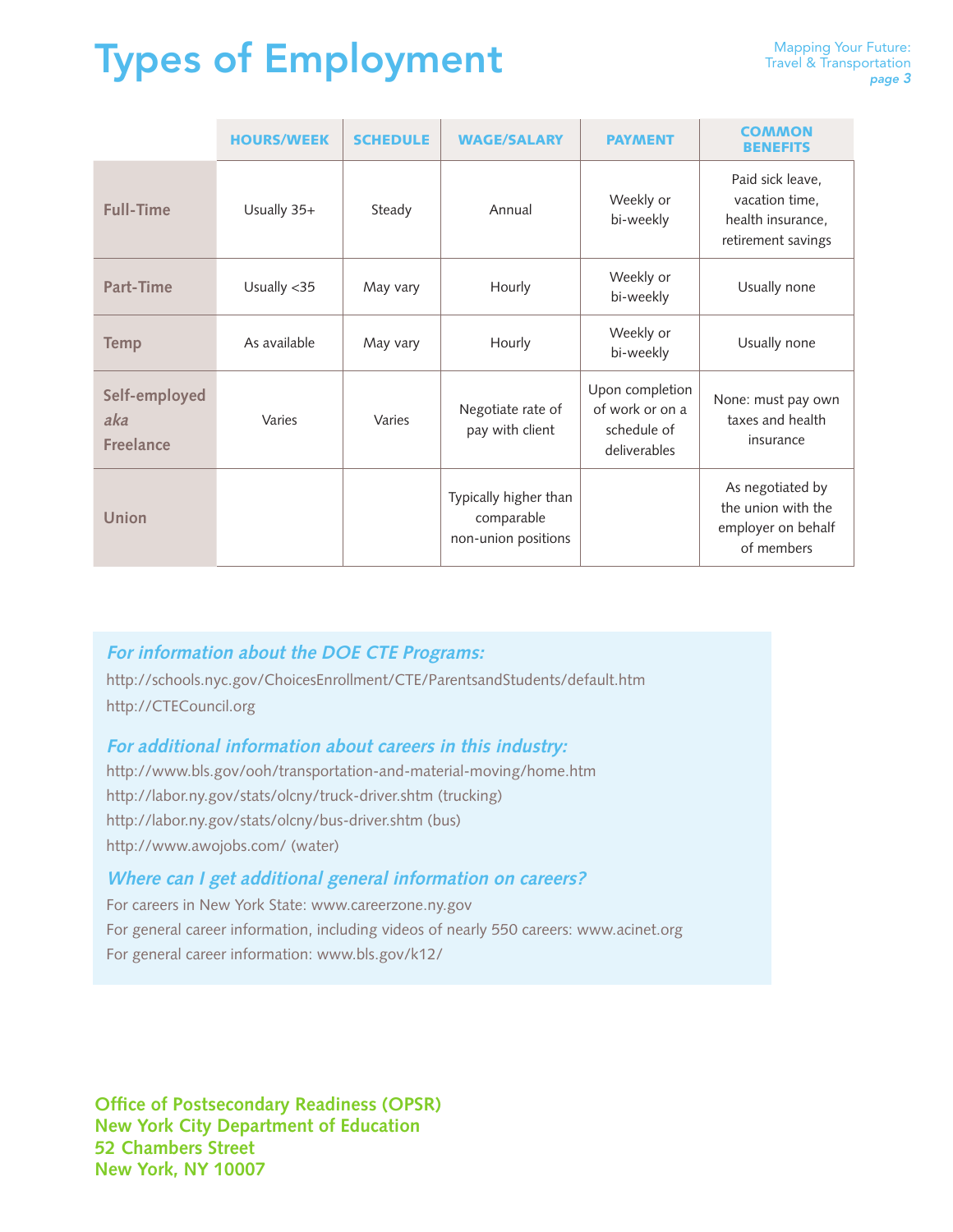# Types of Employment

|                                          | <b>HOURS/WEEK</b> | <b>SCHEDULE</b> | <b>WAGE/SALARY</b>                                         | <b>PAYMENT</b>                                                    | <b>COMMON</b><br><b>BENEFITS</b>                                              |
|------------------------------------------|-------------------|-----------------|------------------------------------------------------------|-------------------------------------------------------------------|-------------------------------------------------------------------------------|
| <b>Full-Time</b>                         | Usually 35+       | Steady          | Annual                                                     | Weekly or<br>bi-weekly                                            | Paid sick leave,<br>vacation time,<br>health insurance,<br>retirement savings |
| Part-Time                                | Usually <35       | May vary        | Hourly                                                     | Weekly or<br>bi-weekly                                            | Usually none                                                                  |
| <b>Temp</b>                              | As available      | May vary        | Hourly                                                     | Weekly or<br>bi-weekly                                            | Usually none                                                                  |
| Self-employed<br>aka<br><b>Freelance</b> | Varies            | Varies          | Negotiate rate of<br>pay with client                       | Upon completion<br>of work or on a<br>schedule of<br>deliverables | None: must pay own<br>taxes and health<br>insurance                           |
| Union                                    |                   |                 | Typically higher than<br>comparable<br>non-union positions |                                                                   | As negotiated by<br>the union with the<br>employer on behalf<br>of members    |

# **For information about the DOE CTE Programs:**

http://schools.nyc.gov/ChoicesEnrollment/CTE/ParentsandStudents/default.htm http://CTECouncil.org

# For additional information about careers in this industry:

http://www.bls.gov/ooh/transportation-and-material-moving/home.htm http://labor.ny.gov/stats/olcny/truck-driver.shtm (trucking) http://labor.ny.gov/stats/olcny/bus-driver.shtm (bus) http://www.awojobs.com/ (water)

# **Where can I get additional general information on careers?**

For careers in New York State: www.careerzone.ny.gov For general career information, including videos of nearly 550 careers: www.acinet.org For general career information: www.bls.gov/k12/

**Office of Postsecondary Readiness (OPSR) New York City Department of Education 52 Chambers Street New York, NY 10007**